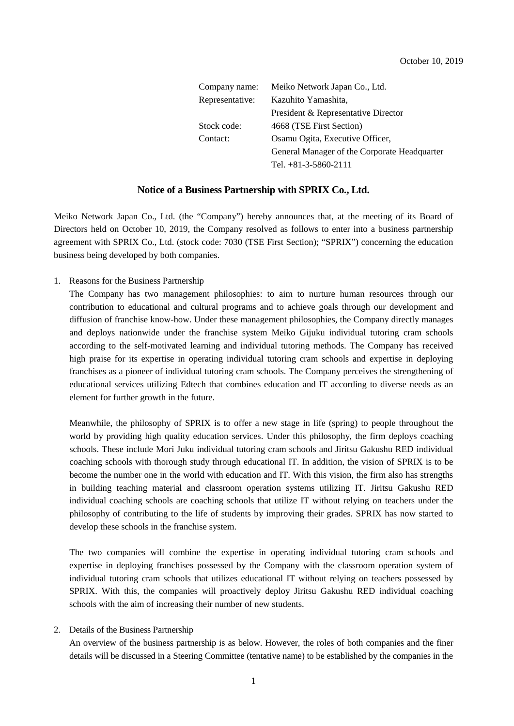| Company name:   | Meiko Network Japan Co., Ltd.                |
|-----------------|----------------------------------------------|
| Representative: | Kazuhito Yamashita,                          |
|                 | President & Representative Director          |
| Stock code:     | 4668 (TSE First Section)                     |
| Contact:        | Osamu Ogita, Executive Officer,              |
|                 | General Manager of the Corporate Headquarter |
|                 | Tel. $+81-3-5860-2111$                       |

## **Notice of a Business Partnership with SPRIX Co., Ltd.**

Meiko Network Japan Co., Ltd. (the "Company") hereby announces that, at the meeting of its Board of Directors held on October 10, 2019, the Company resolved as follows to enter into a business partnership agreement with SPRIX Co., Ltd. (stock code: 7030 (TSE First Section); "SPRIX") concerning the education business being developed by both companies.

1. Reasons for the Business Partnership

The Company has two management philosophies: to aim to nurture human resources through our contribution to educational and cultural programs and to achieve goals through our development and diffusion of franchise know-how. Under these management philosophies, the Company directly manages and deploys nationwide under the franchise system Meiko Gijuku individual tutoring cram schools according to the self-motivated learning and individual tutoring methods. The Company has received high praise for its expertise in operating individual tutoring cram schools and expertise in deploying franchises as a pioneer of individual tutoring cram schools. The Company perceives the strengthening of educational services utilizing Edtech that combines education and IT according to diverse needs as an element for further growth in the future.

Meanwhile, the philosophy of SPRIX is to offer a new stage in life (spring) to people throughout the world by providing high quality education services. Under this philosophy, the firm deploys coaching schools. These include Mori Juku individual tutoring cram schools and Jiritsu Gakushu RED individual coaching schools with thorough study through educational IT. In addition, the vision of SPRIX is to be become the number one in the world with education and IT. With this vision, the firm also has strengths in building teaching material and classroom operation systems utilizing IT. Jiritsu Gakushu RED individual coaching schools are coaching schools that utilize IT without relying on teachers under the philosophy of contributing to the life of students by improving their grades. SPRIX has now started to develop these schools in the franchise system.

The two companies will combine the expertise in operating individual tutoring cram schools and expertise in deploying franchises possessed by the Company with the classroom operation system of individual tutoring cram schools that utilizes educational IT without relying on teachers possessed by SPRIX. With this, the companies will proactively deploy Jiritsu Gakushu RED individual coaching schools with the aim of increasing their number of new students.

#### 2. Details of the Business Partnership

An overview of the business partnership is as below. However, the roles of both companies and the finer details will be discussed in a Steering Committee (tentative name) to be established by the companies in the